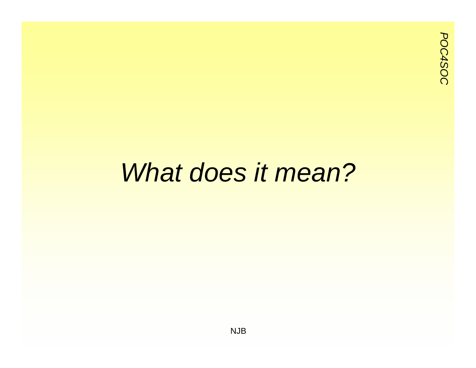#### *What does it mean?*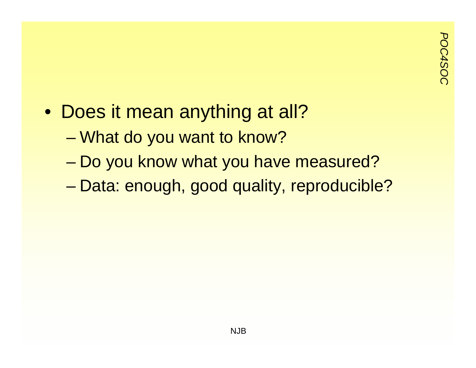- Does it mean anything at all?
	- What do you want to know?
	- Do you know what you have measured?
	- –Data: enough, good quality, reproducible?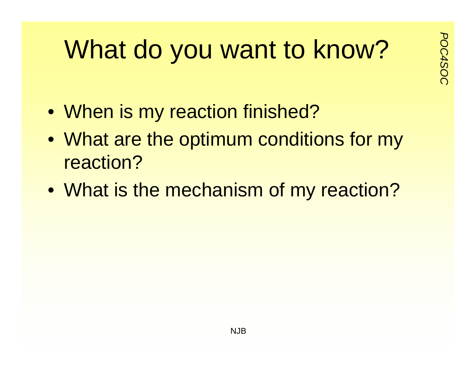# **Pousant to know?**<br>
Post do you want to know?

- When is my reaction finished?
- What are the optimum conditions for my reaction?
- What is the mechanism of my reaction?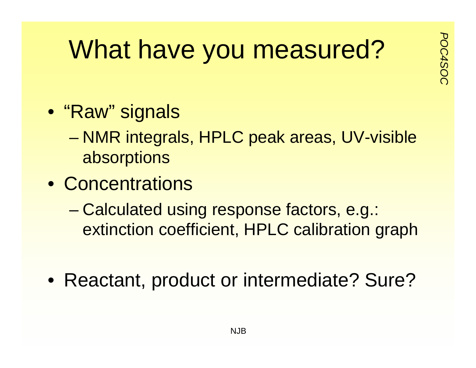## **What have you measured?**

- "Raw" signals
	- NMR integrals, HPLC peak areas, UV-visible absorptions
- Concentrations
	- Calculated using response factors, e.g.: extinction coefficient, HPLC calibration graph
- Reactant, product or intermediate? Sure?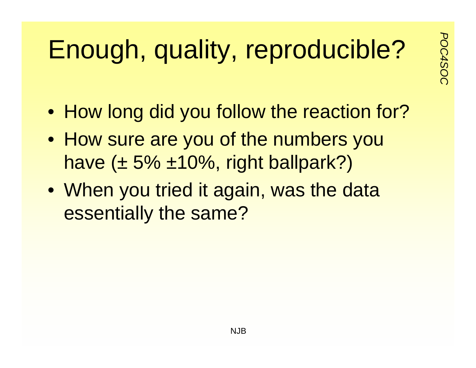# **Enough, quality, reproducible?**

- How long did you follow the reaction for?
- How sure are you of the numbers you have  $(\pm 5\% \pm 10\%$ , right ballpark?)
- When you tried it again, was the data essentially the same?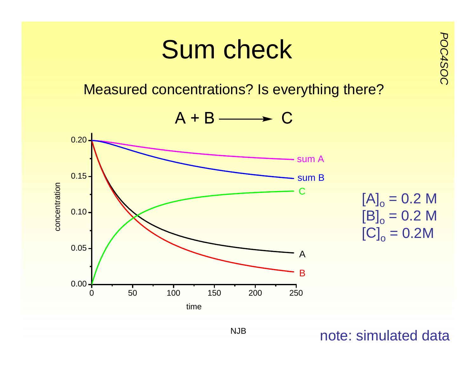

#### note: simulated data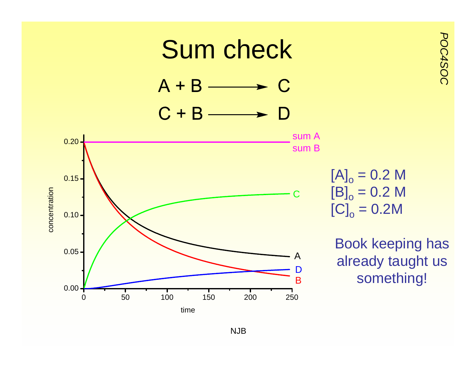

NJB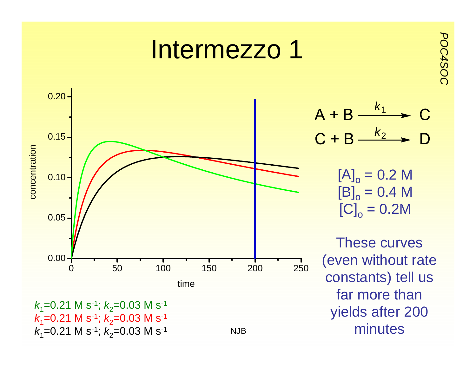#### Intermezzo 1



$$
A + B \xrightarrow{k_1} C
$$
  

$$
C + B \xrightarrow{k_2} D
$$

*POC4SOC*

 $\left[\mathsf{A}\right]_\mathrm{o}$  = 0.2 M  $\left[\mathsf{B}\right]_\mathrm{o}$  = 0.4 M  $\left[\mathrm{C}\right]_\mathrm{o} = \mathrm{0.2M}$ 

These curves (even without rate constants) tell us far more than yields after 200 minutes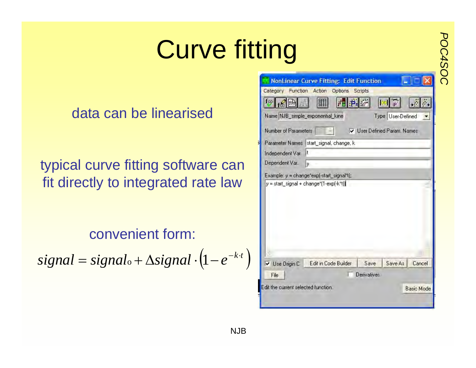# **Curve fitting**

#### data can be linearised

typical curve fitting software can fit directly to integrated rate law

convenient form:

 $signal = signal_0 + \Delta signal \cdot (1 - e^{-k \cdot t})$ 

|                                           | NonLinear Curve Fitting: Edit Function |                    |                             |                   |
|-------------------------------------------|----------------------------------------|--------------------|-----------------------------|-------------------|
| Category Function Action Options Scripts  |                                        |                    |                             |                   |
| $f\infty$                                 |                                        |                    |                             |                   |
| Name NJB_simple_exponential_kine          |                                        |                    | Type User-Defined           |                   |
| Number of Parameters                      |                                        |                    | V User Defined Param, Names |                   |
| Parameter Names start_signal, change, k   |                                        |                    |                             |                   |
| Independent Var. It                       |                                        |                    |                             |                   |
| Dependent Var.                            | v.                                     |                    |                             |                   |
| Example: y = change"exp[-start_signal"t]; |                                        |                    |                             |                   |
|                                           |                                        |                    |                             |                   |
|                                           |                                        |                    |                             |                   |
| V Use Origin C                            | Edit in Code Builder                   | Save               | Save As Cancel              |                   |
| File                                      |                                        | <b>Derivatives</b> |                             |                   |
| Edit the current selected function.       |                                        |                    |                             | <b>Basic Mode</b> |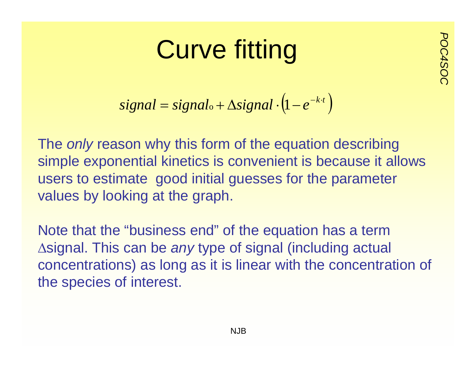## *Postal Curve fitting*

$$
signal = signal_o + \Delta signal \cdot (1 - e^{-k \cdot t})
$$

The *only* reason why this form of the equation describing simple exponential kinetics is convenient is because it allows users to estimate good initial guesses for the parameter values by looking at the graph.

Note that the "business end" of the equation has a term Δsignal. This can be *any* type of signal (including actual concentrations) as long as it is linear with the concentration of the species of interest.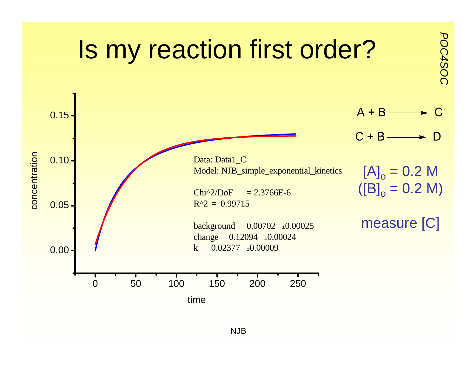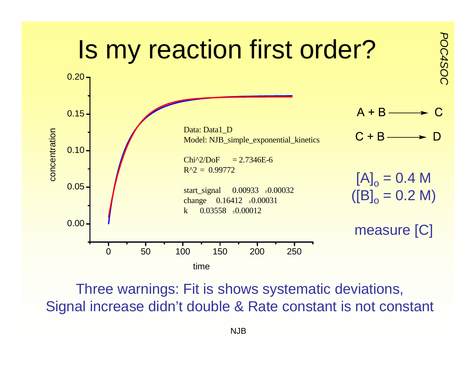

Three warnings: Fit is shows systematic deviations, Signal increase didn't double & Rate constant is not constant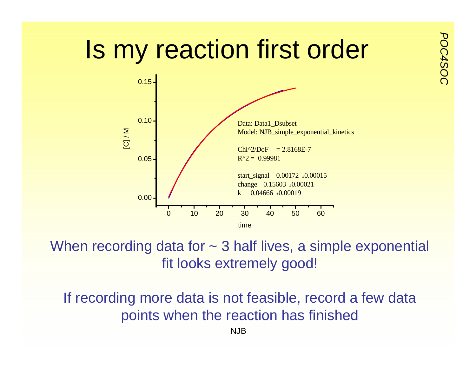# **Polyandring is my reaction first order**



When recording data for  $\sim$  3 half lives, a simple exponential fit looks extremely good!

If recording more data is not feasible, record a few data points when the reaction has finished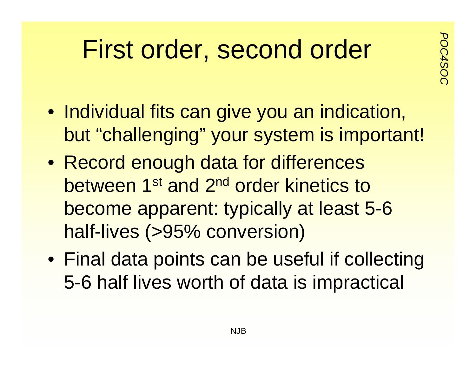## **Purist order, second order**

- Individual fits can give you an indication, but "challenging" your system is important!
- Record enough data for differences between 1<sup>st</sup> and 2<sup>nd</sup> order kinetics to become apparent: typically at least 5-6 half-lives (>95% conversion)
- Final data points can be useful if collecting 5-6 half lives worth of data is impractical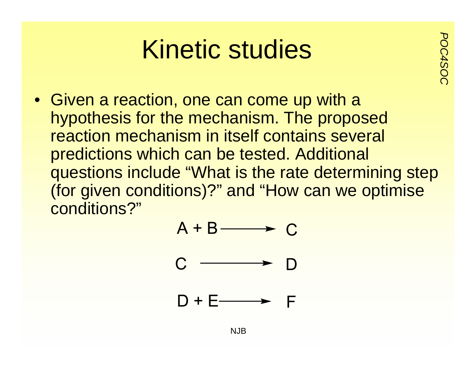## *Position Studies*

• Given a reaction, one can come up with a hypothesis for the mechanism. The proposed reaction mechanism in itself contains several predictions which can be tested. Additional questions include "What is the rate determining step (for given conditions)?" and "How can we optimise conditions?"

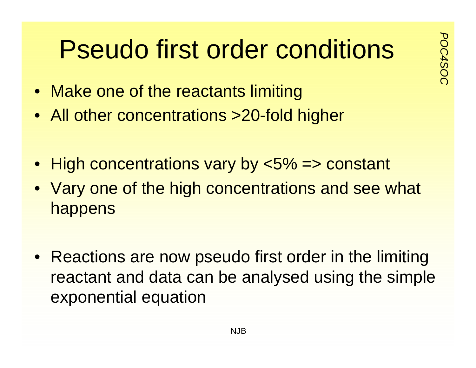# **Pseudo first order conditions**

- Make one of the reactants limiting
- All other concentrations >20-fold higher
- High concentrations vary by <5% => constant
- Vary one of the high concentrations and see what happens
- Reactions are now pseudo first order in the limiting reactant and data can be analysed using the simple exponential equation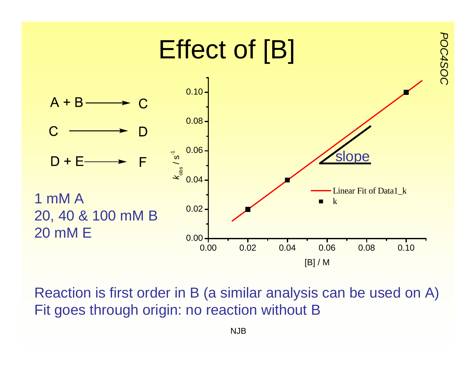

Reaction is first order in B (a similar analysis can be used on A) Fit goes through origin: no reaction without B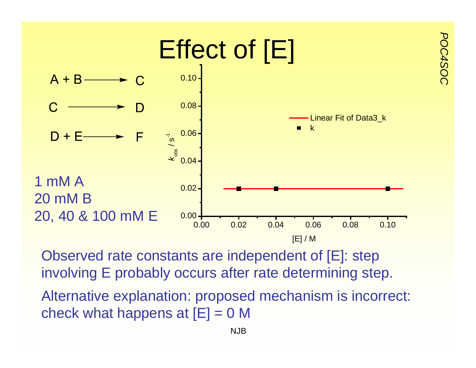

Observed rate constants are independent of [E]: step involving E probably occurs after rate determining step.

Alternative explanation: proposed mechanism is incorrect: check what happens at  $[E] = 0$  M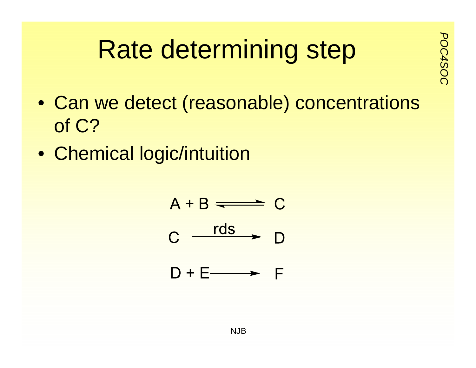# **Pate determining step**

- Can we detect (reasonable) concentrations of C?
- Chemical logic/intuition

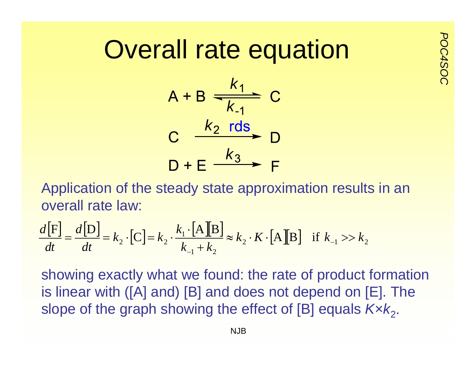## **Overall rate equation**



Application of the steady state approximation results in an overall rate law:

$$
\frac{d[\mathbf{F}]}{dt} = \frac{d[\mathbf{D}]}{dt} = k_2 \cdot [\mathbf{C}] = k_2 \cdot \frac{k_1 \cdot [\mathbf{A}][\mathbf{B}]}{k_{-1} + k_2} \approx k_2 \cdot K \cdot [\mathbf{A}][\mathbf{B}] \quad \text{if } k_{-1} >> k_2
$$

showing exactly what we found: the rate of product formation is linear with ([A] and) [B] and does not depend on [E]. The slope of the graph showing the effect of [B] equals  $Kxk<sub>2</sub>$ .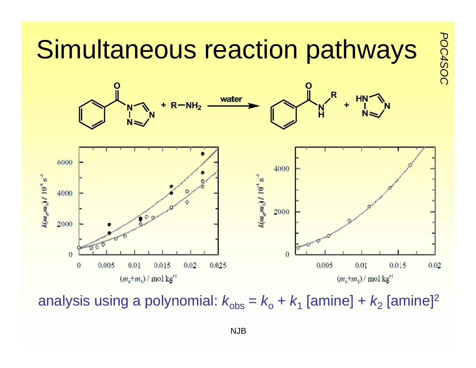

analysis using a polynomial:  $k_{\rm obs}$  =  $k_{\rm o}$  +  $k_{\rm 1}$  [amine] +  $k_{\rm 2}$  [amine] $^2$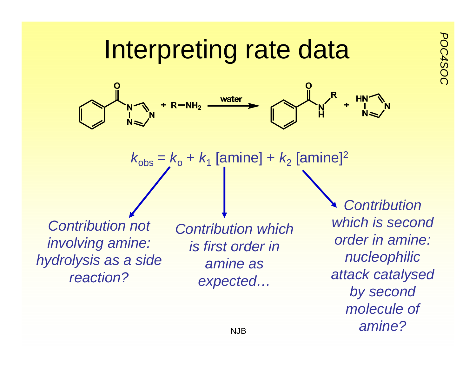#### **Interpreting rate data** water  $R - NH<sub>2</sub>$  $\frac{N}{H}$  $k_{\mathrm{obs}}$  =  $k_{\mathrm{o}}$  +  $k_{\mathrm{1}}$  [amine] +  $k_{\mathrm{2}}$  [amine]<sup>2</sup> *Contribution which is second Contribution not Contribution which order in amine: involving amine: is first order in nucleophilic hydrolysis as a side amine as attack catalysed reaction?expected…*

*by second* 

*molecule of* 

*amine?*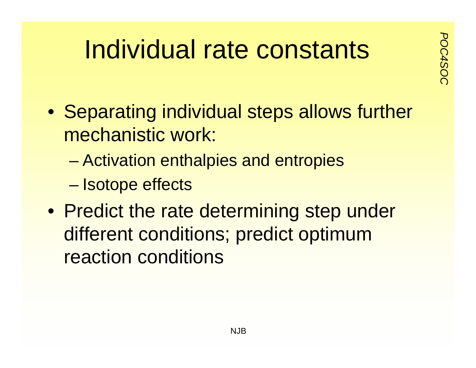# **Postants**<br>References and respectively

- Separating individual steps allows further mechanistic work:
	- –Activation enthalpies and entropies
	- Isotope effects
- Predict the rate determining step under different conditions; predict optimum reaction conditions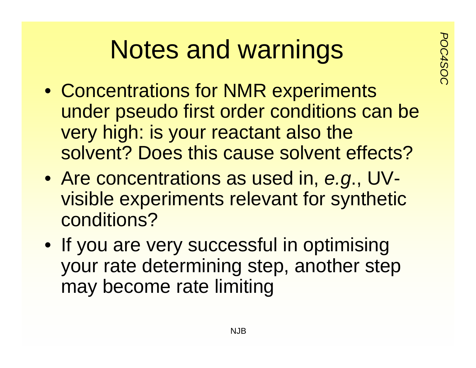# **Notes and warnings**

- Concentrations for NMR experiments under pseudo first order conditions can be very high: is your reactant also the solvent? Does this cause solvent effects?
- Are concentrations as used in, *e.g*., UVvisible experiments relevant for synthetic conditions?
- If you are very successful in optimising your rate determining step, another step may become rate limiting